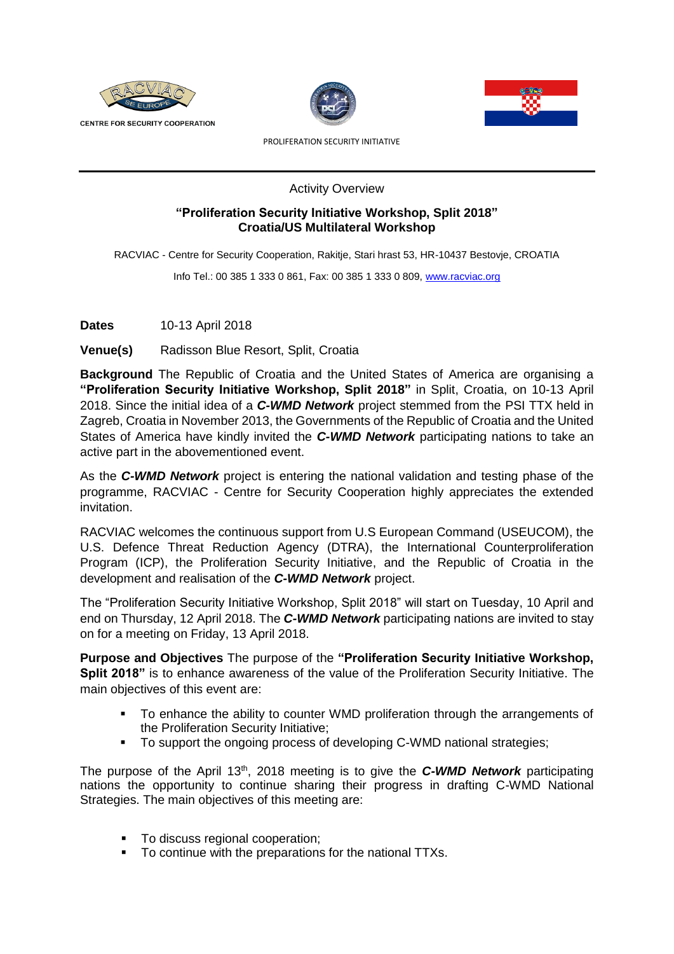





PROLIFERATION SECURITY INITIATIVE

Activity Overview

## **"Proliferation Security Initiative Workshop, Split 2018" Croatia/US Multilateral Workshop**

RACVIAC - Centre for Security Cooperation, Rakitje, Stari hrast 53, HR-10437 Bestovje, CROATIA

Info Tel.: 00 385 1 333 0 861, Fax: 00 385 1 333 0 809, [www.racviac.org](http://www.racviac.org/)

**Dates** 10-13 April 2018

**Venue(s)** Radisson Blue Resort, Split, Croatia

**Background** The Republic of Croatia and the United States of America are organising a **"Proliferation Security Initiative Workshop, Split 2018"** in Split, Croatia, on 10-13 April 2018. Since the initial idea of a *C-WMD Network* project stemmed from the PSI TTX held in Zagreb, Croatia in November 2013, the Governments of the Republic of Croatia and the United States of America have kindly invited the *C-WMD Network* participating nations to take an active part in the abovementioned event.

As the *C-WMD Network* project is entering the national validation and testing phase of the programme, RACVIAC - Centre for Security Cooperation highly appreciates the extended invitation.

RACVIAC welcomes the continuous support from U.S European Command (USEUCOM), the U.S. Defence Threat Reduction Agency (DTRA), the International Counterproliferation Program (ICP), the Proliferation Security Initiative, and the Republic of Croatia in the development and realisation of the *C-WMD Network* project.

The "Proliferation Security Initiative Workshop, Split 2018" will start on Tuesday, 10 April and end on Thursday, 12 April 2018. The *C-WMD Network* participating nations are invited to stay on for a meeting on Friday, 13 April 2018.

**Purpose and Objectives** The purpose of the **"Proliferation Security Initiative Workshop, Split 2018"** is to enhance awareness of the value of the Proliferation Security Initiative. The main objectives of this event are:

- To enhance the ability to counter WMD proliferation through the arrangements of the Proliferation Security Initiative;
- To support the ongoing process of developing C-WMD national strategies;

The purpose of the April 13<sup>th</sup>, 2018 meeting is to give the **C-WMD Network** participating nations the opportunity to continue sharing their progress in drafting C-WMD National Strategies. The main objectives of this meeting are:

- To discuss regional cooperation;
- To continue with the preparations for the national TTXs.